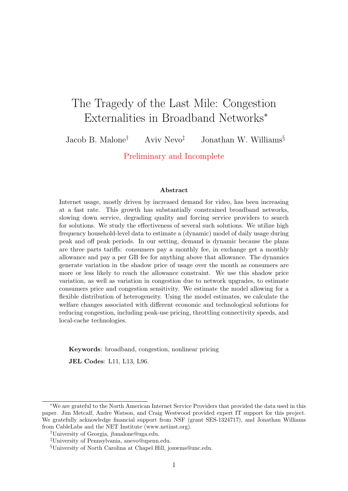# The Tragedy of the Last Mile: Congestion Externalities in Broadband Networks<sup>∗</sup>

Jacob B. Malone<sup>†</sup> Aviv Nevo<sup>‡</sup> Jonathan W. Williams<sup>§</sup>

Preliminary and Incomplete

#### Abstract

Internet usage, mostly driven by increased demand for video, has been increasing at a fast rate. This growth has substantially constrained broadband networks, slowing down service, degrading quality and forcing service providers to search for solutions. We study the effectiveness of several such solutions. We utilize high frequency household-level data to estimate a (dynamic) model of daily usage during peak and off peak periods. In our setting, demand is dynamic because the plans are three parts tariffs: consumers pay a monthly fee, in exchange get a monthly allowance and pay a per GB fee for anything above that allowance. The dynamics generate variation in the shadow price of usage over the month as consumers are more or less likely to reach the allowance constraint. We use this shadow price variation, as well as variation in congestion due to network upgrades, to estimate consumers price and congestion sensitivity. We estimate the model allowing for a flexible distribution of heterogeneity. Using the model estimates, we calculate the welfare changes associated with different economic and technological solutions for reducing congestion, including peak-use pricing, throttling connectivity speeds, and local-cache technologies.

Keywords: broadband, congestion, nonlinear pricing

JEL Codes: L11, L13, L96.

<sup>∗</sup>We are grateful to the North American Internet Service Providers that provided the data used in this paper. Jim Metcalf, Andre Watson, and Craig Westwood provided expert IT support for this project. We gratefully acknowledge financial support from NSF (grant SES-1324717), and Jonathan Williams from CableLabs and the NET Institute (www.netinst.org).

<sup>†</sup>University of Georgia, jbmalone@uga.edu.

<sup>‡</sup>University of Pennsylvania, anevo@upenn.edu.

<sup>§</sup>University of North Carolina at Chapel Hill, jonwms@unc.edu.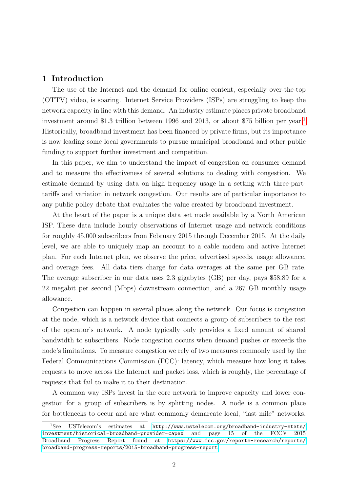## 1 Introduction

The use of the Internet and the demand for online content, especially over-the-top (OTTV) video, is soaring. Internet Service Providers (ISPs) are struggling to keep the network capacity in line with this demand. An industry estimate places private broadband investment around \$[1](#page-1-0).3 trillion between 1996 and 2013, or about \$75 billion per year.<sup>1</sup> Historically, broadband investment has been financed by private firms, but its importance is now leading some local governments to pursue municipal broadband and other public funding to support further investment and competition.

In this paper, we aim to understand the impact of congestion on consumer demand and to measure the effectiveness of several solutions to dealing with congestion. We estimate demand by using data on high frequency usage in a setting with three-parttariffs and variation in network congestion. Our results are of particular importance to any public policy debate that evaluates the value created by broadband investment.

At the heart of the paper is a unique data set made available by a North American ISP. These data include hourly observations of Internet usage and network conditions for roughly 45,000 subscribers from February 2015 through December 2015. At the daily level, we are able to uniquely map an account to a cable modem and active Internet plan. For each Internet plan, we observe the price, advertised speeds, usage allowance, and overage fees. All data tiers charge for data overages at the same per GB rate. The average subscriber in our data uses 2.3 gigabytes (GB) per day, pays \$58.89 for a 22 megabit per second (Mbps) downstream connection, and a 267 GB monthly usage allowance.

Congestion can happen in several places along the network. Our focus is congestion at the node, which is a network device that connects a group of subscribers to the rest of the operator's network. A node typically only provides a fixed amount of shared bandwidth to subscribers. Node congestion occurs when demand pushes or exceeds the node's limitations. To measure congestion we rely of two measures commonly used by the Federal Communications Commission (FCC): latency, which measure how long it takes requests to move across the Internet and packet loss, which is roughly, the percentage of requests that fail to make it to their destination.

A common way ISPs invest in the core network to improve capacity and lower congestion for a group of subscribers is by splitting nodes. A node is a common place for bottlenecks to occur and are what commonly demarcate local, "last mile" networks.

<span id="page-1-0"></span><sup>1</sup>See USTelecom's estimates at [http://www.ustelecom.org/broadband-industry-stats/](http://www.ustelecom.org/broadband-industry-stats/investment/historical-broadband-provider-capex) [investment/historical-broadband-provider-capex](http://www.ustelecom.org/broadband-industry-stats/investment/historical-broadband-provider-capex) and page 15 of the FCC's 2015 Broadband Progress Report found at [https://www.fcc.gov/reports-research/reports/](https://www.fcc.gov/reports-research/reports/broadband-progress-reports/2015-broadband-progress-report) [broadband-progress-reports/2015-broadband-progress-report](https://www.fcc.gov/reports-research/reports/broadband-progress-reports/2015-broadband-progress-report).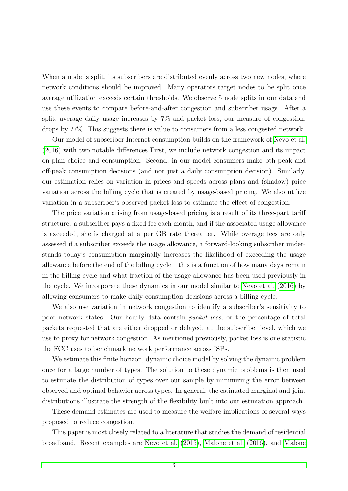When a node is split, its subscribers are distributed evenly across two new nodes, where network conditions should be improved. Many operators target nodes to be split once average utilization exceeds certain thresholds. We observe 5 node splits in our data and use these events to compare before-and-after congestion and subscriber usage. After a split, average daily usage increases by 7% and packet loss, our measure of congestion, drops by 27%. This suggests there is value to consumers from a less congested network.

Our model of subscriber Internet consumption builds on the framework of [Nevo et al.](#page-34-0) [\(2016\)](#page-34-0) with two notable differences First, we include network congestion and its impact on plan choice and consumption. Second, in our model consumers make bth peak and off-peak consumption decisions (and not just a daily consumption decision). Similarly, our estimation relies on variation in prices and speeds across plans and (shadow) price variation across the billing cycle that is created by usage-based pricing. We also utilize variation in a subscriber's observed packet loss to estimate the effect of congestion.

The price variation arising from usage-based pricing is a result of its three-part tariff structure: a subscriber pays a fixed fee each month, and if the associated usage allowance is exceeded, she is charged at a per GB rate thereafter. While overage fees are only assessed if a subscriber exceeds the usage allowance, a forward-looking subscriber understands today's consumption marginally increases the likelihood of exceeding the usage allowance before the end of the billing cycle – this is a function of how many days remain in the billing cycle and what fraction of the usage allowance has been used previously in the cycle. We incorporate these dynamics in our model similar to [Nevo et al.](#page-34-0) [\(2016\)](#page-34-0) by allowing consumers to make daily consumption decisions across a billing cycle.

We also use variation in network congestion to identify a subscriber's sensitivity to poor network states. Our hourly data contain packet loss, or the percentage of total packets requested that are either dropped or delayed, at the subscriber level, which we use to proxy for network congestion. As mentioned previously, packet loss is one statistic the FCC uses to benchmark network performance across ISPs.

We estimate this finite horizon, dynamic choice model by solving the dynamic problem once for a large number of types. The solution to these dynamic problems is then used to estimate the distribution of types over our sample by minimizing the error between observed and optimal behavior across types. In general, the estimated marginal and joint distributions illustrate the strength of the flexibility built into our estimation approach.

These demand estimates are used to measure the welfare implications of several ways proposed to reduce congestion.

This paper is most closely related to a literature that studies the demand of residential broadband. Recent examples are [Nevo et al.](#page-34-0) [\(2016\)](#page-34-0), [Malone et al.](#page-34-1) [\(2016\)](#page-34-1), and [Malone](#page-34-2)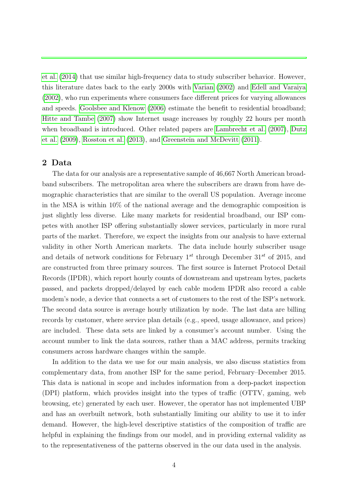[et al.](#page-34-2) [\(2014\)](#page-34-2) that use similar high-frequency data to study subscriber behavior. However, this literature dates back to the early 2000s with [Varian](#page-34-3) [\(2002\)](#page-34-3) and [Edell and Varaiya](#page-33-0) [\(2002\)](#page-33-0), who run experiments where consumers face different prices for varying allowances and speeds. [Goolsbee and Klenow](#page-34-4) [\(2006\)](#page-34-4) estimate the benefit to residential broadband; [Hitte and Tambe](#page-34-5) [\(2007\)](#page-34-5) show Internet usage increases by roughly 22 hours per month when broadband is introduced. Other related papers are [Lambrecht et al.](#page-34-6) [\(2007\)](#page-34-6), [Dutz](#page-33-1) [et al.](#page-33-1) [\(2009\)](#page-33-1), [Rosston et al.](#page-34-7) [\(2013\)](#page-34-7), and [Greenstein and McDevitt](#page-34-8) [\(2011\)](#page-34-8).

## 2 Data

The data for our analysis are a representative sample of 46,667 North American broadband subscribers. The metropolitan area where the subscribers are drawn from have demographic characteristics that are similar to the overall US population. Average income in the MSA is within 10% of the national average and the demographic composition is just slightly less diverse. Like many markets for residential broadband, our ISP competes with another ISP offering substantially slower services, particularly in more rural parts of the market. Therefore, we expect the insights from our analysis to have external validity in other North American markets. The data include hourly subscriber usage and details of network conditions for February  $1^{st}$  through December  $31^{st}$  of 2015, and are constructed from three primary sources. The first source is Internet Protocol Detail Records (IPDR), which report hourly counts of downstream and upstream bytes, packets passed, and packets dropped/delayed by each cable modem IPDR also record a cable modem's node, a device that connects a set of customers to the rest of the ISP's network. The second data source is average hourly utilization by node. The last data are billing records by customer, where service plan details (e.g., speed, usage allowance, and prices) are included. These data sets are linked by a consumer's account number. Using the account number to link the data sources, rather than a MAC address, permits tracking consumers across hardware changes within the sample.

In addition to the data we use for our main analysis, we also discuss statistics from complementary data, from another ISP for the same period, February–December 2015. This data is national in scope and includes information from a deep-packet inspection (DPI) platform, which provides insight into the types of traffic (OTTV, gaming, web browsing, etc) generated by each user. However, the operator has not implemented UBP and has an overbuilt network, both substantially limiting our ability to use it to infer demand. However, the high-level descriptive statistics of the composition of traffic are helpful in explaining the findings from our model, and in providing external validity as to the representativeness of the patterns observed in the our data used in the analysis.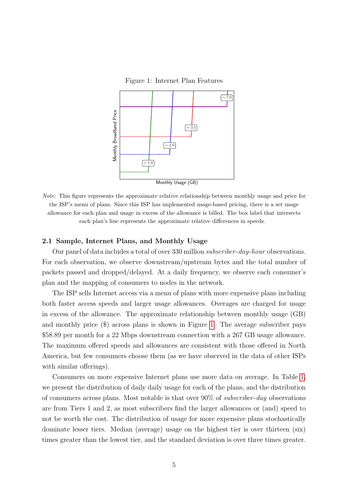<span id="page-4-0"></span>Figure 1: Internet Plan Features



Note: This figure represents the approximate relative relationship between monthly usage and price for the ISP's menu of plans. Since this ISP has implemented usage-based pricing, there is a set usage allowance for each plan and usage in excess of the allowance is billed. The box label that intersects each plan's line represents the approximate relative differences in speeds.

#### 2.1 Sample, Internet Plans, and Monthly Usage

Our panel of data includes a total of over 330 million *subscriber-day-hour* observations. For each observation, we observe downstream/upstream bytes and the total number of packets passed and dropped/delayed. At a daily frequency, we observe each consumer's plan and the mapping of consumers to nodes in the network.

The ISP sells Internet access via a menu of plans with more expensive plans including both faster access speeds and larger usage allowances. Overages are charged for usage in excess of the allowance. The approximate relationship between monthly usage (GB) and monthly price (\$) across plans is shown in Figure [1.](#page-4-0) The average subscriber pays \$58.89 per month for a 22 Mbps downstream connection with a 267 GB usage allowance. The maximum offered speeds and allowances are consistent with those offered in North America, but few consumers choose them (as we have observed in the data of other ISPs with similar offerings).

Consumers on more expensive Internet plans use more data on average. In Table [1,](#page-5-0) we present the distribution of daily daily usage for each of the plans, and the distribution of consumers across plans. Most notable is that over  $90\%$  of *subscriber-day* observations are from Tiers 1 and 2, as most subscribers find the larger allowances or (and) speed to not be worth the cost. The distribution of usage for more expensive plans stochastically dominate lesser tiers. Median (average) usage on the highest tier is over thirteen (six) times greater than the lowest tier, and the standard deviation is over three times greater.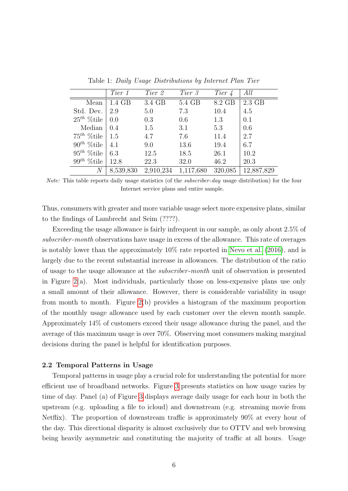|                 | Tier 1          | Tier 2    | Tier 3    | Tier 4  | All        |
|-----------------|-----------------|-----------|-----------|---------|------------|
| Mean            | $1.4\text{ GB}$ | 3.4 GB    | 5.4 GB    | 8.2 GB  | $2.3$ GB   |
| Std. Dev.       | 2.9             | 5.0       | 7.3       | 10.4    | 4.5        |
| $25^{th}$ %tile | 0.0             | 0.3       | 0.6       | 1.3     | 0.1        |
| Median          | 0.4             | 1.5       | 3.1       | 5.3     | 0.6        |
| $75^{th}$ %tile | 1.5             | 4.7       | 7.6       | 11.4    | 2.7        |
| $90^{th}$ %tile | 4.1             | 9.0       | 13.6      | 19.4    | 6.7        |
| $95^{th}$ %tile | 6.3             | 12.5      | 18.5      | 26.1    | 10.2       |
| $99^{th}$ %tile | 12.8            | 22.3      | 32.0      | 46.2    | 20.3       |
| N               | 8,539,830       | 2,910,234 | 1,117,680 | 320,085 | 12,887,829 |

<span id="page-5-0"></span>Table 1: Daily Usage Distributions by Internet Plan Tier

Thus, consumers with greater and more variable usage select more expensive plans, similar to the findings of Lambrecht and Seim (????).

Exceeding the usage allowance is fairly infrequent in our sample, as only about 2.5% of subscriber-month observations have usage in excess of the allowance. This rate of overages is notably lower than the approximately 10% rate reported in [Nevo et al.](#page-34-0) [\(2016\)](#page-34-0), and is largely due to the recent substantial increase in allowances. The distribution of the ratio of usage to the usage allowance at the subscriber -month unit of observation is presented in Figure [2\(](#page-6-0)a). Most individuals, particularly those on less-expensive plans use only a small amount of their allowance. However, there is considerable variability in usage from month to month. Figure [2\(](#page-6-0)b) provides a histogram of the maximum proportion of the monthly usage allowance used by each customer over the eleven month sample. Approximately 14% of customers exceed their usage allowance during the panel, and the average of this maximum usage is over 70%. Observing most consumers making marginal decisions during the panel is helpful for identification purposes.

## 2.2 Temporal Patterns in Usage

Temporal patterns in usage play a crucial role for understanding the potential for more efficient use of broadband networks. Figure [3](#page-6-1) presents statistics on how usage varies by time of day. Panel (a) of Figure [3](#page-6-1) displays average daily usage for each hour in both the upstream (e.g. uploading a file to icloud) and downstream (e.g. streaming movie from Netflix). The proportion of downstream traffic is approximately 90% at every hour of the day. This directional disparity is almost exclusively due to OTTV and web browsing being heavily asymmetric and constituting the majority of traffic at all hours. Usage

Note: This table reports daily usage statistics (of the *subscriber-day* usage distribution) for the four Internet service plans and entire sample.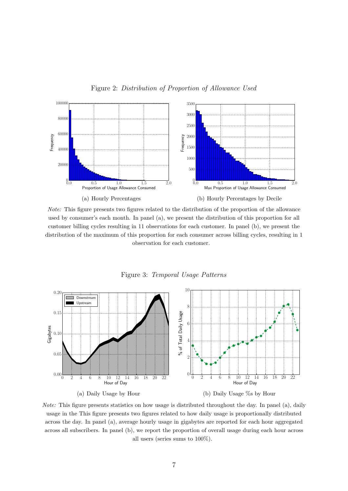

Figure 2: Distribution of Proportion of Allowance Used



<span id="page-6-1"></span><span id="page-6-0"></span>Figure 3: Temporal Usage Patterns



Note: This figure presents statistics on how usage is distributed throughout the day. In panel (a), daily usage in the This figure presents two figures related to how daily usage is proportionally distributed across the day. In panel (a), average hourly usage in gigabytes are reported for each hour aggregated across all subscribers. In panel (b), we report the proportion of overall usage during each hour across all users (series sums to 100%).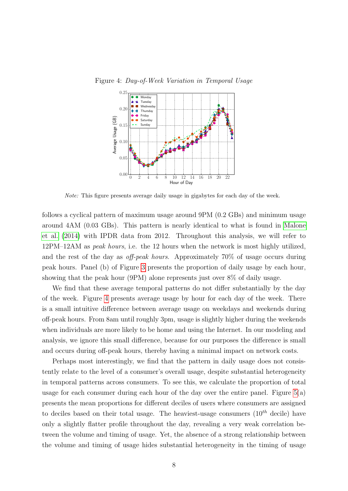<span id="page-7-0"></span>

Figure 4: Day-of-Week Variation in Temporal Usage

Note: This figure presents average daily usage in gigabytes for each day of the week.

follows a cyclical pattern of maximum usage around 9PM (0.2 GBs) and minimum usage around 4AM (0.03 GBs). This pattern is nearly identical to what is found in [Malone](#page-34-2) [et al.](#page-34-2) [\(2014\)](#page-34-2) with IPDR data from 2012. Throughout this analysis, we will refer to 12PM–12AM as peak hours, i.e. the 12 hours when the network is most highly utilized, and the rest of the day as off-peak hours. Approximately 70% of usage occurs during peak hours. Panel (b) of Figure [3](#page-6-1) presents the proportion of daily usage by each hour, showing that the peak hour (9PM) alone represents just over 8% of daily usage.

We find that these average temporal patterns do not differ substantially by the day of the week. Figure [4](#page-7-0) presents average usage by hour for each day of the week. There is a small intuitive difference between average usage on weekdays and weekends during off-peak hours. From 8am until roughly 3pm, usage is slightly higher during the weekends when individuals are more likely to be home and using the Internet. In our modeling and analysis, we ignore this small difference, because for our purposes the difference is small and occurs during off-peak hours, thereby having a minimal impact on network costs.

Perhaps most interestingly, we find that the pattern in daily usage does not consistently relate to the level of a consumer's overall usage, despite substantial heterogeneity in temporal patterns across consumers. To see this, we calculate the proportion of total usage for each consumer during each hour of the day over the entire panel. Figure  $5(a)$ presents the mean proportions for different deciles of users where consumers are assigned to deciles based on their total usage. The heaviest-usage consumers  $(10^{th}$  decile) have only a slightly flatter profile throughout the day, revealing a very weak correlation between the volume and timing of usage. Yet, the absence of a strong relationship between the volume and timing of usage hides substantial heterogeneity in the timing of usage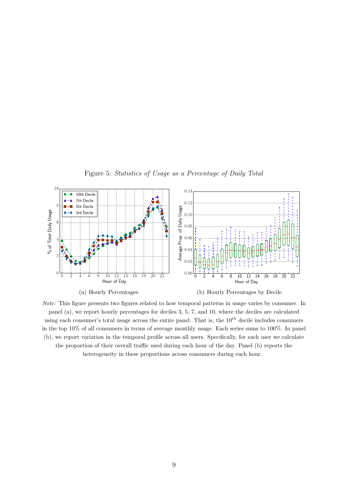

<span id="page-8-0"></span>Note: This figure presents two figures related to how temporal patterns in usage varies by consumer. In panel (a), we report hourly percentages for deciles 3, 5, 7, and 10, where the deciles are calculated using each consumer's total usage across the entire panel. That is, the  $10^{th}$  decile includes consumers in the top 10% of all consumers in terms of average monthly usage. Each series sums to 100%. In panel (b), we report variation in the temporal profile across all users. Specifically, for each user we calculate the proportion of their overall traffic used during each hour of the day. Panel (b) reports the heterogeneity in these proportions across consumers during each hour.

Figure 5: Statistics of Usage as a Percentage of Daily Total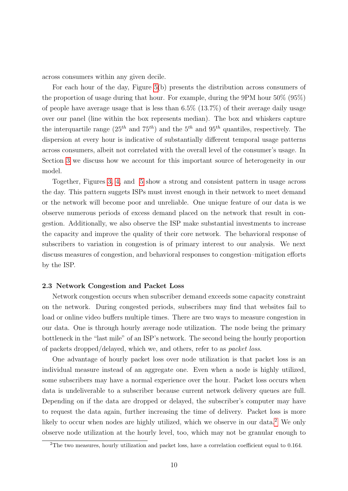across consumers within any given decile.

For each hour of the day, Figure [5\(](#page-8-0)b) presents the distribution across consumers of the proportion of usage during that hour. For example, during the 9PM hour 50% (95%) of people have average usage that is less than  $6.5\%$  (13.7%) of their average daily usage over our panel (line within the box represents median). The box and whiskers capture the interquartile range  $(25<sup>th</sup>$  and  $75<sup>th</sup>$ ) and the  $5<sup>th</sup>$  and  $95<sup>th</sup>$  quantiles, respectively. The dispersion at every hour is indicative of substantially different temporal usage patterns across consumers, albeit not correlated with the overall level of the consumer's usage. In Section [3](#page-18-0) we discuss how we account for this important source of heterogeneity in our model.

Together, Figures [3,](#page-6-1) [4,](#page-7-0) and [5](#page-8-0) show a strong and consistent pattern in usage across the day. This pattern suggets ISPs must invest enough in their network to meet demand or the network will become poor and unreliable. One unique feature of our data is we observe numerous periods of excess demand placed on the network that result in congestion. Additionally, we also observe the ISP make substantial investments to increase the capacity and improve the quality of their core network. The behavioral response of subscribers to variation in congestion is of primary interest to our analysis. We next discuss measures of congestion, and behavioral responses to congestion–mitigation efforts by the ISP.

#### 2.3 Network Congestion and Packet Loss

Network congestion occurs when subscriber demand exceeds some capacity constraint on the network. During congested periods, subscribers may find that websites fail to load or online video buffers multiple times. There are two ways to measure congestion in our data. One is through hourly average node utilization. The node being the primary bottleneck in the "last mile" of an ISP's network. The second being the hourly proportion of packets dropped/delayed, which we, and others, refer to as packet loss.

One advantage of hourly packet loss over node utilization is that packet loss is an individual measure instead of an aggregate one. Even when a node is highly utilized, some subscribers may have a normal experience over the hour. Packet loss occurs when data is undeliverable to a subscriber because current network delivery queues are full. Depending on if the data are dropped or delayed, the subscriber's computer may have to request the data again, further increasing the time of delivery. Packet loss is more likely to occur when nodes are highly utilized, which we observe in our data.<sup>[2](#page-9-0)</sup> We only observe node utilization at the hourly level, too, which may not be granular enough to

<span id="page-9-0"></span> $2$ The two measures, hourly utilization and packet loss, have a correlation coefficient equal to 0.164.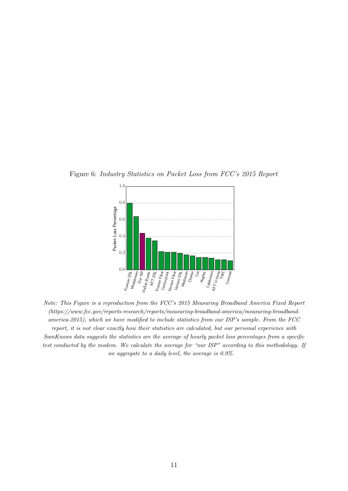Figure 6: Industry Statistics on Packet Loss from FCC's 2015 Report

<span id="page-10-0"></span>

Note: This Figure is a reproduction from the FCC's 2015 Measuring Broadband America Fixed Report (https://www.fcc.gov/reports-research/reports/measuring-broadband-america/measuring-broadbandamerica-2015), which we have modified to include statistics from our ISP's sample. From the FCC report, it is not clear exactly how their statistics are calculated, but our personal experience with SamKnows data suggests the statistics are the average of hourly packet loss percentages from a specific test conducted by the modem. We calculate the average for "our ISP" according to this methodology. If we aggregate to a daily level, the average is 0.9%.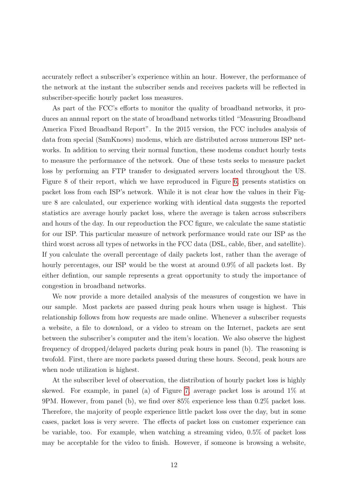accurately reflect a subscriber's experience within an hour. However, the performance of the network at the instant the subscriber sends and receives packets will be reflected in subscriber-specific hourly packet loss measures.

As part of the FCC's efforts to monitor the quality of broadband networks, it produces an annual report on the state of broadband networks titled "Measuring Broadband America Fixed Broadband Report". In the 2015 version, the FCC includes analysis of data from special (SamKnows) modems, which are distributed across numerous ISP networks. In addition to serving their normal function, these modems conduct hourly tests to measure the performance of the network. One of these tests seeks to measure packet loss by performing an FTP transfer to designated servers located throughout the US. Figure 8 of their report, which we have reproduced in Figure [6,](#page-10-0) presents statistics on packet loss from each ISP's network. While it is not clear how the values in their Figure 8 are calculated, our experience working with identical data suggests the reported statistics are average hourly packet loss, where the average is taken across subscribers and hours of the day. In our reproduction the FCC figure, we calculate the same statistic for our ISP. This particular measure of network performance would rate our ISP as the third worst across all types of networks in the FCC data (DSL, cable, fiber, and satellite). If you calculate the overall percentage of daily packets lost, rather than the average of hourly percentages, our ISP would be the worst at around 0.9% of all packets lost. By either defintion, our sample represents a great opportunity to study the importance of congestion in broadband networks.

We now provide a more detailed analysis of the measures of congestion we have in our sample. Most packets are passed during peak hours when usage is highest. This relationship follows from how requests are made online. Whenever a subscriber requests a website, a file to download, or a video to stream on the Internet, packets are sent between the subscriber's computer and the item's location. We also observe the highest frequency of dropped/delayed packets during peak hours in panel (b). The reasoning is twofold. First, there are more packets passed during these hours. Second, peak hours are when node utilization is highest.

At the subscriber level of observation, the distribution of hourly packet loss is highly skewed. For example, in panel (a) of Figure [7,](#page-12-0) average packet loss is around 1% at 9PM. However, from panel (b), we find over 85% experience less than 0.2% packet loss. Therefore, the majority of people experience little packet loss over the day, but in some cases, packet loss is very severe. The effects of packet loss on customer experience can be variable, too. For example, when watching a streaming video, 0.5% of packet loss may be acceptable for the video to finish. However, if someone is browsing a website,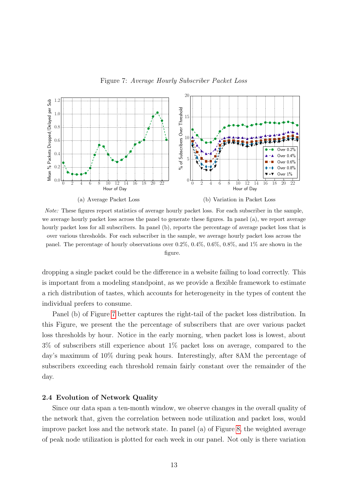<span id="page-12-0"></span>



Note: These figures report statistics of average hourly packet loss. For each subscriber in the sample, we average hourly packet loss across the panel to generate these figures. In panel (a), we report average hourly packet loss for all subscribers. In panel (b), reports the percentage of average packet loss that is over various thresholds. For each subscriber in the sample, we average hourly packet loss across the panel. The percentage of hourly observations over  $0.2\%$ ,  $0.4\%$ ,  $0.6\%$ ,  $0.8\%$ , and  $1\%$  are shown in the figure.

dropping a single packet could be the difference in a website failing to load correctly. This is important from a modeling standpoint, as we provide a flexible framework to estimate a rich distribution of tastes, which accounts for heterogeneity in the types of content the individual prefers to consume.

Panel (b) of Figure [7](#page-12-0) better captures the right-tail of the packet loss distribution. In this Figure, we present the the percentage of subscribers that are over various packet loss thresholds by hour. Notice in the early morning, when packet loss is lowest, about 3% of subscribers still experience about 1% packet loss on average, compared to the day's maximum of 10% during peak hours. Interestingly, after 8AM the percentage of subscribers exceeding each threshold remain fairly constant over the remainder of the day.

## 2.4 Evolution of Network Quality

Since our data span a ten-month window, we observe changes in the overall quality of the network that, given the correlation between node utilization and packet loss, would improve packet loss and the network state. In panel (a) of Figure [8,](#page-13-0) the weighted average of peak node utilization is plotted for each week in our panel. Not only is there variation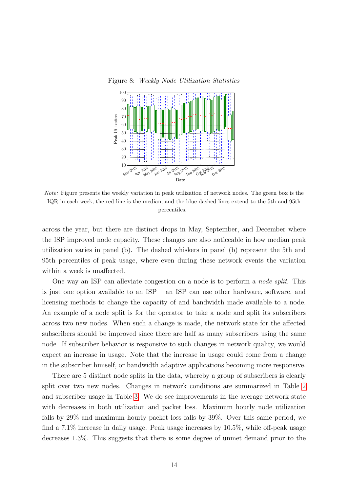<span id="page-13-0"></span>Figure 8: Weekly Node Utilization Statistics



Note: Figure presents the weekly variation in peak utilization of network nodes. The green box is the IQR in each week, the red line is the median, and the blue dashed lines extend to the 5th and 95th percentiles.

across the year, but there are distinct drops in May, September, and December where the ISP improved node capacity. These changes are also noticeable in how median peak utilization varies in panel (b). The dashed whiskers in panel (b) represent the 5th and 95th percentiles of peak usage, where even during these network events the variation within a week is unaffected.

One way an ISP can alleviate congestion on a node is to perform a node split. This is just one option available to an ISP – an ISP can use other hardware, software, and licensing methods to change the capacity of and bandwidth made available to a node. An example of a node split is for the operator to take a node and split its subscribers across two new nodes. When such a change is made, the network state for the affected subscribers should be improved since there are half as many subscribers using the same node. If subscriber behavior is responsive to such changes in network quality, we would expect an increase in usage. Note that the increase in usage could come from a change in the subscriber himself, or bandwidth adaptive applications becoming more responsive.

There are 5 distinct node splits in the data, whereby a group of subscribers is clearly split over two new nodes. Changes in network conditions are summarized in Table [2](#page-14-0) and subscriber usage in Table [3.](#page-14-1) We do see improvements in the average network state with decreases in both utilization and packet loss. Maximum hourly node utilization falls by 29% and maximum hourly packet loss falls by 39%. Over this same period, we find a 7.1% increase in daily usage. Peak usage increases by 10.5%, while off-peak usage decreases 1.3%. This suggests that there is some degree of unmet demand prior to the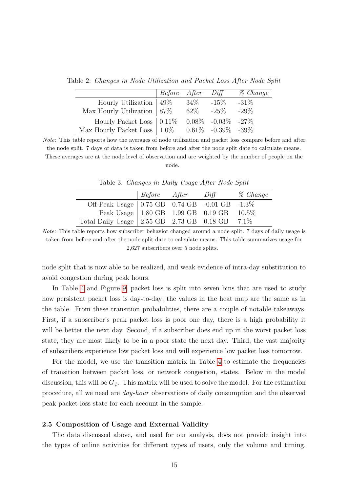Table 2: Changes in Node Utilization and Packet Loss After Node Split

<span id="page-14-0"></span>

|                                                                         | Before After Diff |        |         | % Change |
|-------------------------------------------------------------------------|-------------------|--------|---------|----------|
| Hourly Utilization $ 49\% $                                             |                   | - 34%  | $-15\%$ | $-31\%$  |
| Max Hourly Utilization $ 87\% $                                         |                   | $62\%$ | $-25\%$ | $-29\%$  |
| Hourly Packet Loss $\vert 0.11\% - 0.08\% - 0.03\% - 27\% \vert$        |                   |        |         |          |
| Max Hourly Packet Loss $\vert 1.0\% - 0.61\% - 0.39\% \vert 39\% \vert$ |                   |        |         |          |

Note: This table reports how the averages of node utilization and packet loss compare before and after the node split. 7 days of data is taken from before and after the node split date to calculate means. These averages are at the node level of observation and are weighted by the number of people on the node.

<span id="page-14-1"></span>

|  | Table 3: Changes in Daily Usage After Node Split |  |  |  |  |  |  |
|--|--------------------------------------------------|--|--|--|--|--|--|
|--|--------------------------------------------------|--|--|--|--|--|--|

|                                                                                           | $ Before$ After | Diff | $\%$ Change |
|-------------------------------------------------------------------------------------------|-----------------|------|-------------|
|                                                                                           |                 |      |             |
| Off-Peak Usage 0.75 GB 0.74 GB -0.01 GB -1.3%<br>Peak Usage 1.80 GB 1.99 GB 0.19 GB 10.5% |                 |      |             |
| Total Daily Usage   2.55 GB 2.73 GB 0.18 GB 7.1%                                          |                 |      |             |

Note: This table reports how subscriber behavior changed around a node split. 7 days of daily usage is taken from before and after the node split date to calculate means. This table summarizes usage for 2,627 subscribers over 5 node splits.

node split that is now able to be realized, and weak evidence of intra-day substitution to avoid congestion during peak hours.

In Table [4](#page-15-0) and Figure [9,](#page-15-1) packet loss is split into seven bins that are used to study how persistent packet loss is day-to-day; the values in the heat map are the same as in the table. From these transition probabilities, there are a couple of notable takeaways. First, if a subscriber's peak packet loss is poor one day, there is a high probability it will be better the next day. Second, if a subscriber does end up in the worst packet loss state, they are most likely to be in a poor state the next day. Third, the vast majority of subscribers experience low packet loss and will experience low packet loss tomorrow.

For the model, we use the transition matrix in Table [4](#page-15-0) to estimate the frequencies of transition between packet loss, or network congestion, states. Below in the model discussion, this will be  $G_{\psi}$ . This matrix will be used to solve the model. For the estimation procedure, all we need are day-hour observations of daily consumption and the observed peak packet loss state for each account in the sample.

## 2.5 Composition of Usage and External Validity

The data discussed above, and used for our analysis, does not provide insight into the types of online activities for different types of users, only the volume and timing.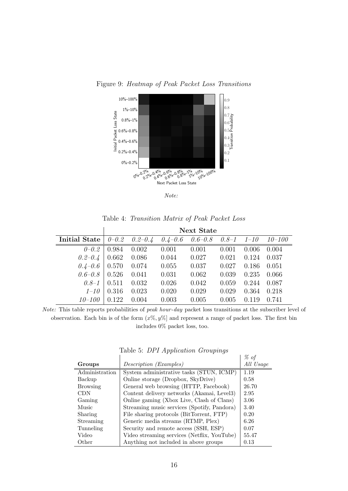

<span id="page-15-1"></span>

Note:

<span id="page-15-0"></span>

|  | Table 4: Transition Matrix of Peak Packet Loss |  |  |  |  |
|--|------------------------------------------------|--|--|--|--|
|--|------------------------------------------------|--|--|--|--|

|               | <b>Next State</b> |             |             |             |                        |       |        |
|---------------|-------------------|-------------|-------------|-------------|------------------------|-------|--------|
| Initial State | $0 - 0.2$         | $0.2 - 0.4$ | $0.4 - 0.6$ | $0.6 - 0.8$ | $0.8 - 1 \quad 1 - 10$ |       | 10–100 |
| $0 - 0.2$     | 0.984             | 0.002       | 0.001       | 0.001       | 0.001                  | 0.006 | 0.004  |
| $0.2 - 0.4$   | 0.662             | 0.086       | 0.044       | 0.027       | 0.021                  | 0.124 | 0.037  |
| $0.4 - 0.6$   | 0.570             | 0.074       | 0.055       | 0.037       | 0.027                  | 0.186 | 0.051  |
| $0.6 - 0.8$   | 0.526             | 0.041       | 0.031       | 0.062       | 0.039                  | 0.235 | 0.066  |
| $0.8 - 1$     | 0.511             | 0.032       | 0.026       | 0.042       | 0.059                  | 0.244 | 0.087  |
| $1 - 10$      | 0.316             | 0.023       | 0.020       | 0.029       | 0.029                  | 0.364 | 0.218  |
| $10 - 100$    | 0.122             | 0.004       | 0.003       | 0.005       | 0.005                  | 0.119 | 0.741  |

Note: This table reports probabilities of peak hour-day packet loss transitions at the subscriber level of observation. Each bin is of the form  $(x\%, y\%)$  and represent a range of packet loss. The first bin includes 0% packet loss, too.

<span id="page-15-2"></span>Table 5: DPI Application Groupings

|                 |                                             | % of      |
|-----------------|---------------------------------------------|-----------|
| Groups          | Description (Examples)                      | All Usage |
| Administration  | System administrative tasks (STUN, ICMP)    | 1.19      |
| Backup          | Online storage (Dropbox, SkyDrive)          | 0.58      |
| <b>Browsing</b> | General web browsing (HTTP, Facebook)       | 26.70     |
| <b>CDN</b>      | Content delivery networks (Akamai, Level3)  | 2.95      |
| Gaming          | Online gaming (Xbox Live, Clash of Clans)   | 3.06      |
| Music           | Streaming music services (Spotify, Pandora) | 3.40      |
| Sharing         | File sharing protocols (BitTorrent, FTP)    | 0.20      |
| Streaming       | Generic media streams (RTMP, Plex)          | 6.26      |
| Tunneling       | Security and remote access (SSH, ESP)       | 0.07      |
| Video           | Video streaming services (Netflix, YouTube) | 55.47     |
| Other           | Anything not included in above groups       | 0.13      |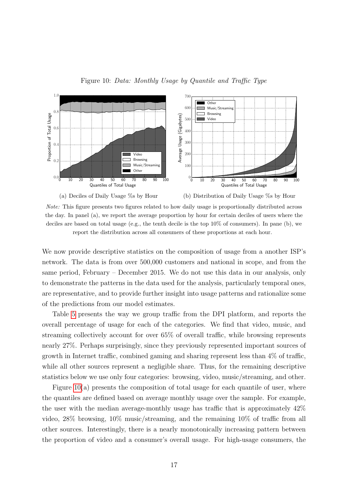

Figure 10: Data: Monthly Usage by Quantile and Traffic Type



<span id="page-16-0"></span>

Note: This figure presents two figures related to how daily usage is proportionally distributed across the day. In panel (a), we report the average proportion by hour for certain deciles of users where the deciles are based on total usage (e.g., the tenth decile is the top 10% of consumers). In pane (b), we report the distribution across all consumers of these proportions at each hour.

We now provide descriptive statistics on the composition of usage from a another ISP's network. The data is from over 500,000 customers and national in scope, and from the same period, February – December 2015. We do not use this data in our analysis, only to demonstrate the patterns in the data used for the analysis, particularly temporal ones, are representative, and to provide further insight into usage patterns and rationalize some of the predictions from our model estimates.

Table [5](#page-15-2) presents the way we group traffic from the DPI platform, and reports the overall percentage of usage for each of the categories. We find that video, music, and streaming collectively account for over 65% of overall traffic, while browsing represents nearly 27%. Perhaps surprisingly, since they previously represented important sources of growth in Internet traffic, combined gaming and sharing represent less than 4% of traffic, while all other sources represent a negligible share. Thus, for the remaining descriptive statistics below we use only four categories: browsing, video, music/streaming, and other.

Figure [10\(](#page-16-0)a) presents the composition of total usage for each quantile of user, where the quantiles are defined based on average monthly usage over the sample. For example, the user with the median average-monthly usage has traffic that is approximately 42% video, 28% browsing, 10% music/streaming, and the remaining 10% of traffic from all other sources. Interestingly, there is a nearly monotonically increasing pattern between the proportion of video and a consumer's overall usage. For high-usage consumers, the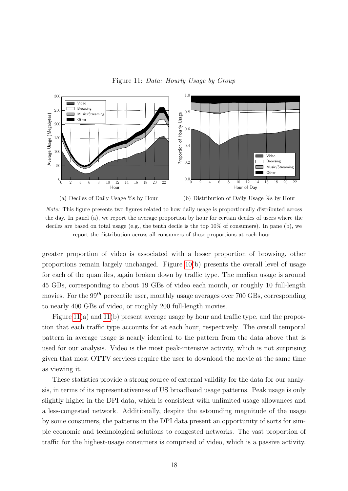Figure 11: Data: Hourly Usage by Group



<span id="page-17-0"></span>

Note: This figure presents two figures related to how daily usage is proportionally distributed across the day. In panel (a), we report the average proportion by hour for certain deciles of users where the deciles are based on total usage (e.g., the tenth decile is the top 10% of consumers). In pane (b), we report the distribution across all consumers of these proportions at each hour.

greater proportion of video is associated with a lesser proportion of browsing, other proportions remain largely unchanged. Figure [10\(](#page-16-0)b) presents the overall level of usage for each of the quantiles, again broken down by traffic type. The median usage is around 45 GBs, corresponding to about 19 GBs of video each month, or roughly 10 full-length movies. For the  $99<sup>th</sup>$  percentile user, monthly usage averages over 700 GBs, corresponding to nearly 400 GBs of video, or roughly 200 full-length movies.

Figure [11\(](#page-17-0)a) and [11\(](#page-17-0)b) present average usage by hour and traffic type, and the proportion that each traffic type accounts for at each hour, respectively. The overall temporal pattern in average usage is nearly identical to the pattern from the data above that is used for our analysis. Video is the most peak-intensive activity, which is not surprising given that most OTTV services require the user to download the movie at the same time as viewing it.

These statistics provide a strong source of external validity for the data for our analysis, in terms of its representativeness of US broadband usage patterns. Peak usage is only slightly higher in the DPI data, which is consistent with unlimited usage allowances and a less-congested network. Additionally, despite the astounding magnitude of the usage by some consumers, the patterns in the DPI data present an opportunity of sorts for simple economic and technological solutions to congested networks. The vast proportion of traffic for the highest-usage consumers is comprised of video, which is a passive activity.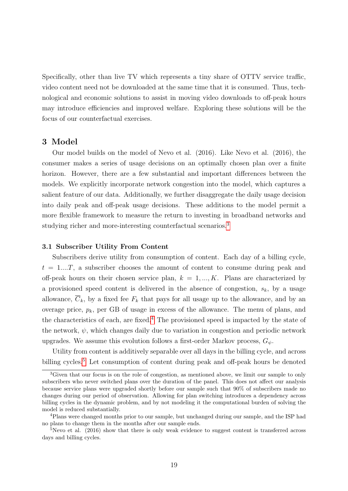Specifically, other than live TV which represents a tiny share of OTTV service traffic, video content need not be downloaded at the same time that it is consumed. Thus, technological and economic solutions to assist in moving video downloads to off-peak hours may introduce efficiencies and improved welfare. Exploring these solutions will be the focus of our counterfactual exercises.

## <span id="page-18-0"></span>3 Model

Our model builds on the model of Nevo et al. (2016). Like Nevo et al. (2016), the consumer makes a series of usage decisions on an optimally chosen plan over a finite horizon. However, there are a few substantial and important differences between the models. We explicitly incorporate network congestion into the model, which captures a salient feature of our data. Additionally, we further disaggregate the daily usage decision into daily peak and off-peak usage decisions. These additions to the model permit a more flexible framework to measure the return to investing in broadband networks and studying richer and more-interesting counterfactual scenarios.<sup>[3](#page-18-1)</sup>

#### 3.1 Subscriber Utility From Content

Subscribers derive utility from consumption of content. Each day of a billing cycle,  $t = 1...T$ , a subscriber chooses the amount of content to consume during peak and off-peak hours on their chosen service plan,  $k = 1, ..., K$ . Plans are characterized by a provisioned speed content is delivered in the absence of congestion,  $s_k$ , by a usage allowance,  $\overline{C}_k$ , by a fixed fee  $F_k$  that pays for all usage up to the allowance, and by an overage price,  $p_k$ , per GB of usage in excess of the allowance. The menu of plans, and the characteristics of each, are fixed.[4](#page-18-2) The provisioned speed is impacted by the state of the network,  $\psi$ , which changes daily due to variation in congestion and periodic network upgrades. We assume this evolution follows a first-order Markov process,  $G_{\psi}$ .

Utility from content is additively separable over all days in the billing cycle, and across billing cycles.<sup>[5](#page-18-3)</sup> Let consumption of content during peak and off-peak hours be denoted

<span id="page-18-1"></span><sup>&</sup>lt;sup>3</sup>Given that our focus is on the role of congestion, as mentioned above, we limit our sample to only subscribers who never switched plans over the duration of the panel. This does not affect our analysis because service plans were upgraded shortly before our sample such that 90% of subscribers made no changes during our period of observation. Allowing for plan switching introduces a dependency across billing cycles in the dynamic problem, and by not modeling it the computational burden of solving the model is reduced substantially.

<span id="page-18-2"></span><sup>4</sup>Plans were changed months prior to our sample, but unchanged during our sample, and the ISP had no plans to change them in the months after our sample ends.

<span id="page-18-3"></span> $5$ Nevo et al. (2016) show that there is only weak evidence to suggest content is transferred across days and billing cycles.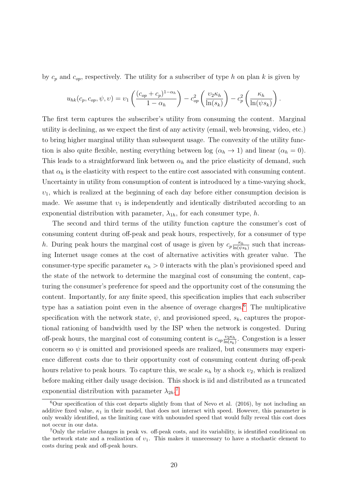by  $c_p$  and  $c_{op}$ , respectively. The utility for a subscriber of type h on plan k is given by

$$
u_{hk}(c_p, c_{op}, \psi, \upsilon) = \upsilon_1 \left( \frac{(c_{op} + c_p)^{1-\alpha_h}}{1-\alpha_h} \right) - c_{op}^2 \left( \frac{\upsilon_2 \kappa_h}{\ln(s_k)} \right) - c_p^2 \left( \frac{\kappa_h}{\ln(\psi s_k)} \right).
$$

The first term captures the subscriber's utility from consuming the content. Marginal utility is declining, as we expect the first of any activity (email, web browsing, video, etc.) to bring higher marginal utility than subsequent usage. The convexity of the utility function is also quite flexible, nesting everything between log ( $\alpha_h \rightarrow 1$ ) and linear ( $\alpha_h = 0$ ). This leads to a straightforward link between  $\alpha_h$  and the price elasticity of demand, such that  $\alpha_h$  is the elasticity with respect to the entire cost associated with consuming content. Uncertainty in utility from consumption of content is introduced by a time-varying shock,  $v_1$ , which is realized at the beginning of each day before either consumption decision is made. We assume that  $v_1$  is independently and identically distributed according to an exponential distribution with parameter,  $\lambda_{1h}$ , for each consumer type, h.

The second and third terms of the utility function capture the consumer's cost of consuming content during off-peak and peak hours, respectively, for a consumer of type h. During peak hours the marginal cost of usage is given by  $c_p \frac{\kappa_h}{\ln(w)}$  $\frac{\kappa_h}{\ln(\psi s_k)}$  such that increasing Internet usage comes at the cost of alternative activities with greater value. The consumer-type specific parameter  $\kappa_h > 0$  interacts with the plan's provisioned speed and the state of the network to determine the marginal cost of consuming the content, capturing the consumer's preference for speed and the opportunity cost of the consuming the content. Importantly, for any finite speed, this specification implies that each subscriber type has a satiation point even in the absence of overage charges.[6](#page-19-0) The multiplicative specification with the network state,  $\psi$ , and provisioned speed,  $s_k$ , captures the proportional rationing of bandwidth used by the ISP when the network is congested. During off-peak hours, the marginal cost of consuming content is  $c_{op} \frac{v_2 \kappa_h}{\ln(s_h)}$  $\frac{v_2 \kappa_h}{\ln(s_k)}$ . Congestion is a lesser concern so  $\psi$  is omitted and provisioned speeds are realized, but consumers may experience different costs due to their opportunity cost of consuming content during off-peak hours relative to peak hours. To capture this, we scale  $\kappa_h$  by a shock  $v_2$ , which is realized before making either daily usage decision. This shock is iid and distributed as a truncated exponential distribution with parameter  $\lambda_{2h}$ .<sup>[7](#page-19-1)</sup>

<span id="page-19-0"></span> $6$ Our specification of this cost departs slightly from that of Nevo et al. (2016), by not including an additive fixed value,  $\kappa_1$  in their model, that does not interact with speed. However, this parameter is only weakly identified, as the limiting case with unbounded speed that would fully reveal this cost does not occur in our data.

<span id="page-19-1"></span><sup>7</sup>Only the relative changes in peak vs. off-peak costs, and its variability, is identified conditional on the network state and a realization of  $v_1$ . This makes it unnecessary to have a stochastic element to costs during peak and off-peak hours.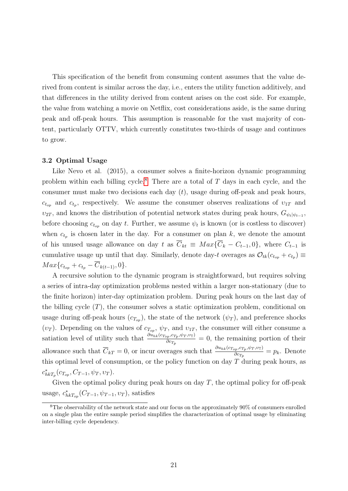This specification of the benefit from consuming content assumes that the value derived from content is similar across the day, i.e., enters the utility function additively, and that differences in the utility derived from content arises on the cost side. For example, the value from watching a movie on Netflix, cost considerations aside, is the same during peak and off-peak hours. This assumption is reasonable for the vast majority of content, particularly OTTV, which currently constitutes two-thirds of usage and continues to grow.

#### 3.2 Optimal Usage

Like Nevo et al. (2015), a consumer solves a finite-horizon dynamic programming problem within each billing cycle.<sup>[8](#page-20-0)</sup> There are a total of  $T$  days in each cycle, and the consumer must make two decisions each day  $(t)$ , usage during off-peak and peak hours,  $c_{t_{op}}$  and  $c_{t_p}$ , respectively. We assume the consumer observes realizations of  $v_{1T}$  and  $v_{2T}$ , and knows the distribution of potential network states during peak hours,  $G_{\psi_t|\psi_{t-1}}$ , before choosing  $c_{t_{op}}$  on day t. Further, we assume  $\psi_t$  is known (or is costless to discover) when  $c_{t_p}$  is chosen later in the day. For a consumer on plan k, we denote the amount of his unused usage allowance on day t as  $\overline{C}_{kt} \equiv Max\{\overline{C}_k - C_{t-1}, 0\}$ , where  $C_{t-1}$  is cumulative usage up until that day. Similarly, denote day-t overages as  $\mathcal{O}_{tk}(c_{t_{op}} + c_{t_p}) \equiv$  $Max\{c_{t_{on}} + c_{t_n} - \overline{C}_{k(t-1)}, 0\}.$ 

A recursive solution to the dynamic program is straightforward, but requires solving a series of intra-day optimization problems nested within a larger non-stationary (due to the finite horizon) inter-day optimization problem. During peak hours on the last day of the billing cycle  $(T)$ , the consumer solves a static optimization problem, conditional on usage during off-peak hours  $(c_{T_{op}})$ , the state of the network  $(\psi_T)$ , and preference shocks  $(v_T)$ . Depending on the values of  $c_{T_{op}}$ ,  $\psi_T$ , and  $v_{1T}$ , the consumer will either consume a satiation level of utility such that  $\frac{\partial u_{hk}(c_{T_{op}}, c_{T_p}, \psi_T, \nu_T)}{\partial c_T}$  $\frac{\partial p_i, \langle T_p, \varphi_T, \varphi_T \rangle}{\partial c_{T_p}}$  = 0, the remaining portion of their allowance such that  $\overline{C}_{kT} = 0$ , or incur overages such that  $\frac{\partial u_{hk}(c_{Top}, c_{Tp}, \psi_T, \psi_T)}{\partial c_T}$  $\frac{\partial p_i P_i \varphi_T \varphi_T \varphi_T}{\partial c_{T_p}} = p_k$ . Denote this optimal level of consumption, or the policy function on day  $T$  during peak hours, as  $c^*_{h k T_p}(c_{T_{op}}, C_{T-1}, \psi_T, v_T).$ 

Given the optimal policy during peak hours on day  $T$ , the optimal policy for off-peak usage,  $c_{hkT_{op}}^*(C_{T-1}, \psi_{T-1}, \nu_T)$ , satisfies

<span id="page-20-0"></span> ${}^{8}$ The observability of the network state and our focus on the approximately 90% of consumers enrolled on a single plan the entire sample period simplifies the characterization of optimal usage by eliminating inter-billing cycle dependency.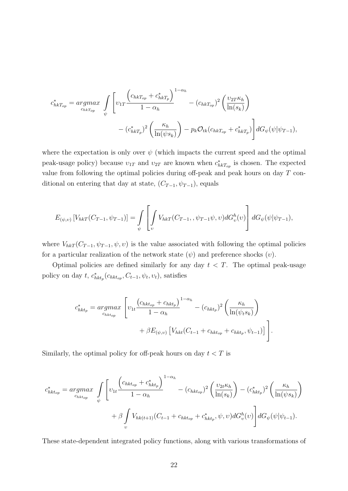$$
c_{hkT_{op}}^* = \underset{c_{hkT_{op}}}{argmax} \int \left[ \upsilon_{1T} \frac{\left(c_{hkT_{op}} + c_{hkT_p}^* \right)^{1-\alpha_h}}{1-\alpha_h} - (c_{hkT_{op}})^2 \left( \frac{\upsilon_{2T} \kappa_h}{\ln(s_k)} \right) - (c_{hkT_p}^*)^2 \left( \frac{\upsilon_{2T} \kappa_h}{\ln(s_k)} \right) - \left( c_{hkT_p}^* \right)^2 \left( \frac{\kappa_h}{\ln(\psi s_k)} \right) - p_k \mathcal{O}_{tk} (c_{hkT_{op}} + c_{hkT_p}^*) \right] dG_{\psi}(\psi|\psi_{T-1}),
$$

where the expectation is only over  $\psi$  (which impacts the current speed and the optimal peak-usage policy) because  $v_{1T}$  and  $v_{2T}$  are known when  $c^*_{hkT_{op}}$  is chosen. The expected value from following the optimal policies during off-peak and peak hours on day T conditional on entering that day at state,  $(C_{T-1}, \psi_{T-1})$ , equals

$$
E_{(\psi,\upsilon)}\left[V_{hkT}(C_{T-1},\psi_{T-1})\right] = \int_{\psi} \left[\int_{\upsilon} V_{hkT}(C_{T-1},,\psi_{T-1}\psi,\upsilon)dG_{\upsilon}^{h}(\upsilon)\right]dG_{\psi}(\psi|\psi_{T-1}),
$$

where  $V_{hkT}(C_{T-1}, \psi_{T-1}, \psi, v)$  is the value associated with following the optimal policies for a particular realization of the network state  $(\psi)$  and preference shocks  $(v)$ .

Optimal policies are defined similarly for any day  $t < T$ . The optimal peak-usage policy on day  $t$ ,  $c_{hkt_p}^*(c_{hkt_{op}}, C_{t-1}, \psi_t, \upsilon_t)$ , satisfies

$$
c_{hkt_p}^* = \underset{c_{hkt_{op}}}{argmax} \left[ \upsilon_{1t} \frac{\left(c_{hkt_{op}} + c_{hkt_p}\right)^{1-\alpha_h}}{1-\alpha_h} - \left(c_{hkt_p}\right)^2 \left(\frac{\kappa_h}{\ln(\psi_t s_k)}\right) + \beta E_{(\psi,\upsilon)} \left[V_{hkt}(C_{t-1} + c_{hkt_{op}} + c_{hkt_p}, \psi_{t-1})\right] \right].
$$

Similarly, the optimal policy for off-peak hours on day  $t < T$  is

$$
c_{hkt_{op}}^{*} = \underset{c_{hkt_{op}}}{argmax} \int_{\psi} \left[ \upsilon_{1t} \frac{\left(c_{hkt_{op}} + c_{hkt_{p}}^{*}\right)^{1-\alpha_{h}}}{1-\alpha_{h}} - (c_{hkt_{op}})^{2} \left(\frac{\upsilon_{2t}\kappa_{h}}{\ln(s_{k})}\right) - (c_{hkt_{p}}^{*})^{2} \left(\frac{\kappa_{h}}{\ln(\psi s_{k})}\right) \right] + \beta \int_{\upsilon} V_{hk(t+1)}(C_{t-1} + c_{hkt_{op}} + c_{hkt_{p}}^{*}, \psi, \upsilon) dG_{\upsilon}^{h}(\upsilon) \right] dG_{\psi}(\psi|\psi_{t-1}).
$$

These state-dependent integrated policy functions, along with various transformations of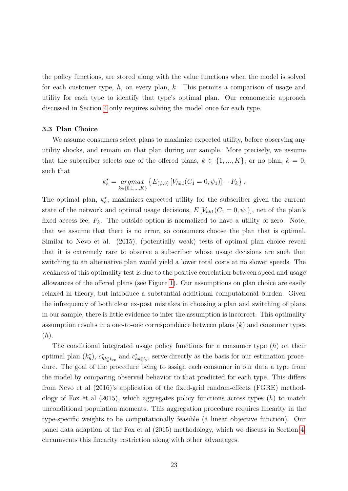the policy functions, are stored along with the value functions when the model is solved for each customer type,  $h$ , on every plan,  $k$ . This permits a comparison of usage and utility for each type to identify that type's optimal plan. Our econometric approach discussed in Section [4](#page-22-0) only requires solving the model once for each type.

## 3.3 Plan Choice

We assume consumers select plans to maximize expected utility, before observing any utility shocks, and remain on that plan during our sample. More precisely, we assume that the subscriber selects one of the offered plans,  $k \in \{1, ..., K\}$ , or no plan,  $k = 0$ , such that

$$
k_h^* = \underset{k \in \{0,1,\ldots,K\}}{\text{argmax}} \left\{ E_{(\psi,\upsilon)} \left[ V_{hk1}(C_1 = 0, \psi_1) \right] - F_k \right\}.
$$

The optimal plan,  $k_h^*$ , maximizes expected utility for the subscriber given the current state of the network and optimal usage decisions,  $E[V_{hk1}(C_1 = 0, \psi_1)]$ , net of the plan's fixed access fee,  $F_k$ . The outside option is normalized to have a utility of zero. Note, that we assume that there is no error, so consumers choose the plan that is optimal. Similar to Nevo et al. (2015), (potentially weak) tests of optimal plan choice reveal that it is extremely rare to observe a subscriber whose usage decisions are such that switching to an alternative plan would yield a lower total costs at no slower speeds. The weakness of this optimality test is due to the positive correlation between speed and usage allowances of the offered plans (see Figure [1\)](#page-4-0). Our assumptions on plan choice are easily relaxed in theory, but introduce a substantial additional computational burden. Given the infrequency of both clear ex-post mistakes in choosing a plan and switching of plans in our sample, there is little evidence to infer the assumption is incorrect. This optimality assumption results in a one-to-one correspondence between plans  $(k)$  and consumer types  $(h).$ 

<span id="page-22-0"></span>The conditional integrated usage policy functions for a consumer type  $(h)$  on their optimal plan  $(k_h^*)$ ,  $c_{hk_h^*t_{op}}^*$  and  $c_{hk_h^*t_p}^*$ , serve directly as the basis for our estimation procedure. The goal of the procedure being to assign each consumer in our data a type from the model by comparing observed behavior to that predicted for each type. This differs from Nevo et al (2016)'s application of the fixed-grid random-effects (FGRE) methodology of Fox et al  $(2015)$ , which aggregates policy functions across types  $(h)$  to match unconditional population moments. This aggregation procedure requires linearity in the type-specific weights to be computationally feasible (a linear objective function). Our panel data adaption of the Fox et al (2015) methodology, which we discuss in Section [4,](#page-22-0) circumvents this linearity restriction along with other advantages.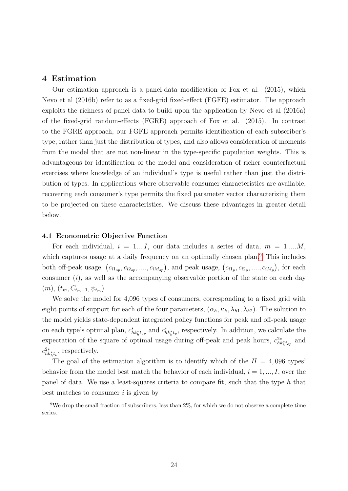## 4 Estimation

Our estimation approach is a panel-data modification of Fox et al. (2015), which Nevo et al (2016b) refer to as a fixed-grid fixed-effect (FGFE) estimator. The approach exploits the richness of panel data to build upon the application by Nevo et al (2016a) of the fixed-grid random-effects (FGRE) approach of Fox et al. (2015). In contrast to the FGRE approach, our FGFE approach permits identification of each subscriber's type, rather than just the distribution of types, and also allows consideration of moments from the model that are not non-linear in the type-specific population weights. This is advantageous for identification of the model and consideration of richer counterfactual exercises where knowledge of an individual's type is useful rather than just the distribution of types. In applications where observable consumer characteristics are available, recovering each consumer's type permits the fixed parameter vector characterizing them to be projected on these characteristics. We discuss these advantages in greater detail below.

#### 4.1 Econometric Objective Function

For each individual,  $i = 1...I$ , our data includes a series of data,  $m = 1,...M$ , which captures usage at a daily frequency on an optimally chosen plan.<sup>[9](#page-23-0)</sup> This includes both off-peak usage,  $(c_{i1_{op}}, c_{i2_{op}}, \ldots, c_{iM_{op}})$ , and peak usage,  $(c_{i1_p}, c_{i2_p}, \ldots, c_{iM_p})$ , for each consumer  $(i)$ , as well as the accompanying observable portion of the state on each day  $(m), (t_m, C_{t_m-1}, \psi_{t_m}).$ 

We solve the model for 4,096 types of consumers, corresponding to a fixed grid with eight points of support for each of the four parameters,  $(\alpha_h, \kappa_h, \lambda_{h1}, \lambda_{h2})$ . The solution to the model yields state-dependent integrated policy functions for peak and off-peak usage on each type's optimal plan,  $c_{hk_h^*t_{op}}^*$  and  $c_{hk_h^*t_p}^*$ , respectively. In addition, we calculate the expectation of the square of optimal usage during off-peak and peak hours,  $c_{hk_h^*t_{op}}^2$  and  $c_{hk_h^*t_p}^{2*}$ , respectively.

The goal of the estimation algorithm is to identify which of the  $H = 4,096$  types behavior from the model best match the behavior of each individual,  $i = 1, ..., I$ , over the panel of data. We use a least-squares criteria to compare fit, such that the type  $h$  that best matches to consumer  $i$  is given by

<span id="page-23-0"></span><sup>&</sup>lt;sup>9</sup>We drop the small fraction of subscribers, less than  $2\%$ , for which we do not observe a complete time series.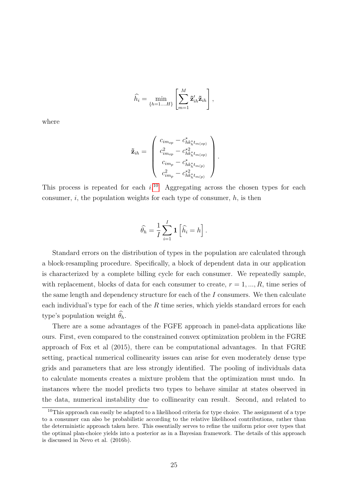$$
\widehat{h}_i = \min_{\{h=1,...H\}} \left[ \sum_{m=1}^M \mathbf{\tilde{z}}'_{ih} \mathbf{\tilde{z}}_{ih} \right],
$$

where

$$
\tilde{\mathbf{z}}_{ih} = \left(\begin{array}{c} c_{im_{op}} - c^*_{hk_h^* t_{m(op)}}\\ c^2_{im_{op}} - c^{*2}_{hk_h^* t_{m(op)}}\\ c_{im_p} - c^*_{hk_h^* t_{m(p)}}\\ c^2_{im_p} - c^{*2}_{hk_h^* t_{m(p)}} \end{array}\right)
$$

.

This process is repeated for each  $i^{10}$  $i^{10}$  $i^{10}$  Aggregating across the chosen types for each consumer,  $i$ , the population weights for each type of consumer,  $h$ , is then

$$
\widehat{\theta}_h = \frac{1}{I} \sum_{i=1}^I \mathbf{1} \left[ \widehat{h}_i = h \right].
$$

Standard errors on the distribution of types in the population are calculated through a block-resampling procedure. Specifically, a block of dependent data in our application is characterized by a complete billing cycle for each consumer. We repeatedly sample, with replacement, blocks of data for each consumer to create,  $r = 1, ..., R$ , time series of the same length and dependency structure for each of the  $I$  consumers. We then calculate each individual's type for each of the  $R$  time series, which yields standard errors for each type's population weight  $\widehat{\theta}_h$ .

There are a some advantages of the FGFE approach in panel-data applications like ours. First, even compared to the constrained convex optimization problem in the FGRE approach of Fox et al (2015), there can be computational advantages. In that FGRE setting, practical numerical collinearity issues can arise for even moderately dense type grids and parameters that are less strongly identified. The pooling of individuals data to calculate moments creates a mixture problem that the optimization must undo. In instances where the model predicts two types to behave similar at states observed in the data, numerical instability due to collinearity can result. Second, and related to

<span id="page-24-0"></span> $10$ This approach can easily be adapted to a likelihood criteria for type choice. The assignment of a type to a consumer can also be probabilistic according to the relative likelihood contributions, rather than the deterministic approach taken here. This essentially serves to refine the uniform prior over types that the optimal plan-choice yields into a posterior as in a Bayesian framework. The details of this approach is discussed in Nevo et al. (2016b).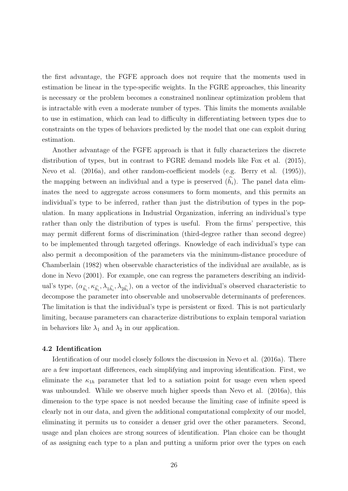the first advantage, the FGFE approach does not require that the moments used in estimation be linear in the type-specific weights. In the FGRE approaches, this linearity is necessary or the problem becomes a constrained nonlinear optimization problem that is intractable with even a moderate number of types. This limits the moments available to use in estimation, which can lead to difficulty in differentiating between types due to constraints on the types of behaviors predicted by the model that one can exploit during estimation.

Another advantage of the FGFE approach is that it fully characterizes the discrete distribution of types, but in contrast to FGRE demand models like Fox et al. (2015), Nevo et al. (2016a), and other random-coefficient models (e.g. Berry et al. (1995)), the mapping between an individual and a type is preserved  $(\widehat{h}_i)$ . The panel data eliminates the need to aggregate across consumers to form moments, and this permits an individual's type to be inferred, rather than just the distribution of types in the population. In many applications in Industrial Organization, inferring an individual's type rather than only the distribution of types is useful. From the firms' perspective, this may permit different forms of discrimination (third-degree rather than second degree) to be implemented through targeted offerings. Knowledge of each individual's type can also permit a decomposition of the parameters via the minimum-distance procedure of Chamberlain (1982) when observable characteristics of the individual are available, as is done in Nevo (2001). For example, one can regress the parameters describing an individual's type,  $(\alpha_{\hat{h}_i}, \kappa_{\hat{h}_i}, \lambda_{1\hat{h}_i}, \lambda_{2\hat{h}_i})$ , on a vector of the individual's observed characteristic to decompose the parameter into observable and unobservable determinants of preferences. The limitation is that the individual's type is persistent or fixed. This is not particularly limiting, because parameters can characterize distributions to explain temporal variation in behaviors like  $\lambda_1$  and  $\lambda_2$  in our application.

## 4.2 Identification

Identification of our model closely follows the discussion in Nevo et al. (2016a). There are a few important differences, each simplifying and improving identification. First, we eliminate the  $\kappa_{1h}$  parameter that led to a satiation point for usage even when speed was unbounded. While we observe much higher speeds than Nevo et al. (2016a), this dimension to the type space is not needed because the limiting case of infinite speed is clearly not in our data, and given the additional computational complexity of our model, eliminating it permits us to consider a denser grid over the other parameters. Second, usage and plan choices are strong sources of identification. Plan choice can be thought of as assigning each type to a plan and putting a uniform prior over the types on each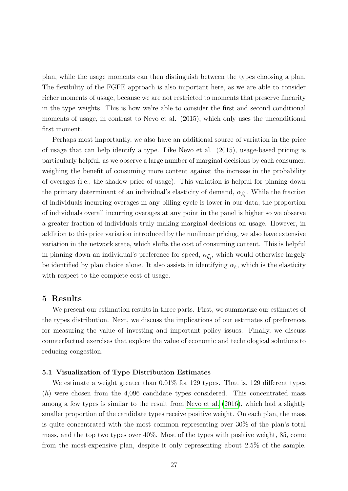plan, while the usage moments can then distinguish between the types choosing a plan. The flexibility of the FGFE approach is also important here, as we are able to consider richer moments of usage, because we are not restricted to moments that preserve linearity in the type weights. This is how we're able to consider the first and second conditional moments of usage, in contrast to Nevo et al. (2015), which only uses the unconditional first moment.

Perhaps most importantly, we also have an additional source of variation in the price of usage that can help identify a type. Like Nevo et al. (2015), usage-based pricing is particularly helpful, as we observe a large number of marginal decisions by each consumer, weighing the benefit of consuming more content against the increase in the probability of overages (i.e., the shadow price of usage). This variation is helpful for pinning down the primary determinant of an individual's elasticity of demand,  $\alpha_{\hat{h}_i}$ . While the fraction of individuals incurring overages in any billing cycle is lower in our data, the proportion of individuals overall incurring overages at any point in the panel is higher so we observe a greater fraction of individuals truly making marginal decisions on usage. However, in addition to this price variation introduced by the nonlinear pricing, we also have extensive variation in the network state, which shifts the cost of consuming content. This is helpful in pinning down an individual's preference for speed,  $\kappa_{\hat{h}_i}$ , which would otherwise largely be identified by plan choice alone. It also assists in identifying  $\alpha_h$ , which is the elasticity with respect to the complete cost of usage.

## 5 Results

We present our estimation results in three parts. First, we summarize our estimates of the types distribution. Next, we discuss the implications of our estimates of preferences for measuring the value of investing and important policy issues. Finally, we discuss counterfactual exercises that explore the value of economic and technological solutions to reducing congestion.

#### 5.1 Visualization of Type Distribution Estimates

We estimate a weight greater than 0.01% for 129 types. That is, 129 different types  $(h)$  were chosen from the 4,096 candidate types considered. This concentrated mass among a few types is similar to the result from [Nevo et al.](#page-34-0) [\(2016\)](#page-34-0), which had a slightly smaller proportion of the candidate types receive positive weight. On each plan, the mass is quite concentrated with the most common representing over 30% of the plan's total mass, and the top two types over 40%. Most of the types with positive weight, 85, come from the most-expensive plan, despite it only representing about 2.5% of the sample.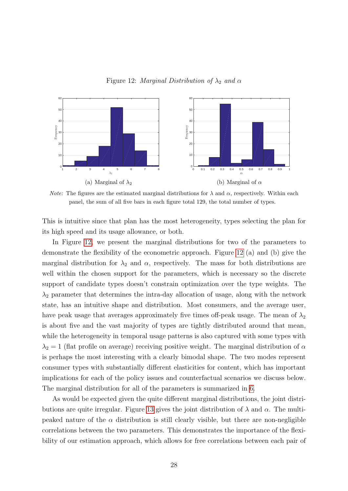<span id="page-27-0"></span>Figure 12: Marginal Distribution of  $\lambda_2$  and  $\alpha$ 



*Note:* The figures are the estimated marginal distributions for  $\lambda$  and  $\alpha$ , respectively. Within each panel, the sum of all five bars in each figure total 129, the total number of types.

This is intuitive since that plan has the most heterogeneity, types selecting the plan for its high speed and its usage allowance, or both.

In Figure [12,](#page-27-0) we present the marginal distributions for two of the parameters to demonstrate the flexibility of the econometric approach. Figure [12](#page-27-0) (a) and (b) give the marginal distribution for  $\lambda_2$  and  $\alpha$ , respectively. The mass for both distributions are well within the chosen support for the parameters, which is necessary so the discrete support of candidate types doesn't constrain optimization over the type weights. The  $\lambda_2$  parameter that determines the intra-day allocation of usage, along with the network state, has an intuitive shape and distribution. Most consumers, and the average user, have peak usage that averages approximately five times off-peak usage. The mean of  $\lambda_2$ is about five and the vast majority of types are tightly distributed around that mean, while the heterogeneity in temporal usage patterns is also captured with some types with  $\lambda_2 = 1$  (flat profile on average) receiving positive weight. The marginal distribution of  $\alpha$ is perhaps the most interesting with a clearly bimodal shape. The two modes represent consumer types with substantially different elasticities for content, which has important implications for each of the policy issues and counterfactual scenarios we discuss below. The marginal distribution for all of the parameters is summarized in [6.](#page-28-0)

As would be expected given the quite different marginal distributions, the joint distri-butions are quite irregular. Figure [13](#page-28-1) gives the joint distribution of  $\lambda$  and  $\alpha$ . The multipeaked nature of the  $\alpha$  distribution is still clearly visible, but there are non-negligible correlations between the two parameters. This demonstrates the importance of the flexibility of our estimation approach, which allows for free correlations between each pair of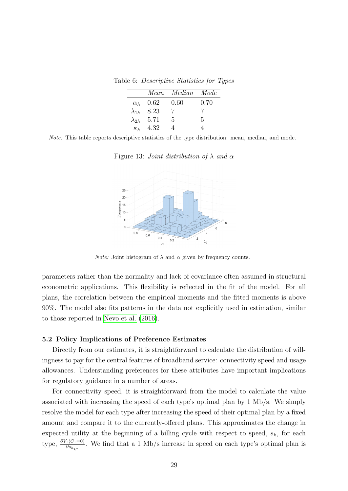Table 6: Descriptive Statistics for Types

<span id="page-28-0"></span>

|            |                                                                                              | Mean Median Mode |      |
|------------|----------------------------------------------------------------------------------------------|------------------|------|
|            |                                                                                              | 0.60             | 0.70 |
|            |                                                                                              |                  |      |
|            | $\begin{array}{c c} \alpha_h & 0.62 \ \lambda_{1h} & 8.23 \ \lambda_{2h} & 5.71 \end{array}$ | $\overline{5}$   | .h   |
| $\kappa_h$ | 4.32                                                                                         |                  |      |

Note: This table reports descriptive statistics of the type distribution: mean, median, and mode.

<span id="page-28-1"></span>Figure 13: Joint distribution of  $\lambda$  and  $\alpha$ 



*Note:* Joint histogram of  $\lambda$  and  $\alpha$  given by frequency counts.

parameters rather than the normality and lack of covariance often assumed in structural econometric applications. This flexibility is reflected in the fit of the model. For all plans, the correlation between the empirical moments and the fitted moments is above 90%. The model also fits patterns in the data not explicitly used in estimation, similar to those reported in [Nevo et al.](#page-34-0) [\(2016\)](#page-34-0).

#### 5.2 Policy Implications of Preference Estimates

Directly from our estimates, it is straightforward to calculate the distribution of willingness to pay for the central features of broadband service: connectivity speed and usage allowances. Understanding preferences for these attributes have important implications for regulatory guidance in a number of areas.

For connectivity speed, it is straightforward from the model to calculate the value associated with increasing the speed of each type's optimal plan by 1 Mb/s. We simply resolve the model for each type after increasing the speed of their optimal plan by a fixed amount and compare it to the currently-offered plans. This approximates the change in expected utility at the beginning of a billing cycle with respect to speed,  $s_k$ , for each type,  $\frac{\partial V_1(C_1=0)}{\partial s_{h_{k^*}}}$ . We find that a 1 Mb/s increase in speed on each type's optimal plan is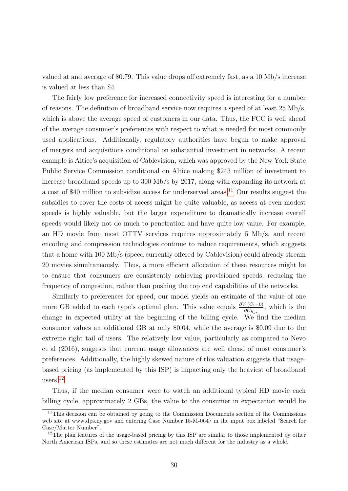valued at and average of \$0.79. This value drops off extremely fast, as a 10 Mb/s increase is valued at less than \$4.

The fairly low preference for increased connectivity speed is interesting for a number of reasons. The definition of broadband service now requires a speed of at least 25 Mb/s, which is above the average speed of customers in our data. Thus, the FCC is well ahead of the average consumer's preferences with respect to what is needed for most commonly used applications. Additionally, regulatory authorities have begun to make approval of mergers and acquisitions conditional on substantial investment in networks. A recent example is Altice's acquisition of Cablevision, which was approved by the New York State Public Service Commission conditional on Altice making \$243 million of investment to increase broadband speeds up to 300 Mb/s by 2017, along with expanding its network at a cost of \$40 million to subsidize access for underserved areas.<sup>[11](#page-29-0)</sup> Our results suggest the subsidies to cover the costs of access might be quite valuable, as access at even modest speeds is highly valuable, but the larger expenditure to dramatically increase overall speeds would likely not do much to penetration and have quite low value. For example, an HD movie from most OTTV services requires approximately 5 Mb/s, and recent encoding and compression technologies continue to reduce requirements, which suggests that a home with 100 Mb/s (speed currently offered by Cablevision) could already stream 20 movies simultaneously. Thus, a more efficient allocation of these resources might be to ensure that consumers are consistently achieving provisioned speeds, reducing the frequency of congestion, rather than pushing the top end capabilities of the networks.

Similarly to preferences for speed, our model yields an estimate of the value of one more GB added to each type's optimal plan. This value equals  $\frac{\partial V_1(C_1=0)}{\partial \overline{C}_{h_{k^*}}}$ , which is the change in expected utility at the beginning of the billing cycle. We find the median consumer values an additional GB at only \$0.04, while the average is \$0.09 due to the extreme right tail of users. The relatively low value, particularly as compared to Nevo et al (2016), suggests that current usage allowances are well ahead of most consumer's preferences. Additionally, the highly skewed nature of this valuation suggests that usagebased pricing (as implemented by this ISP) is impacting only the heaviest of broadband users.[12](#page-29-1)

Thus, if the median consumer were to watch an additional typical HD movie each billing cycle, approximately 2 GBs, the value to the consumer in expectation would be

<span id="page-29-0"></span> $11$ This decision can be obtained by going to the Commission Documents section of the Commissions web site at www.dps.ny.gov and entering Case Number 15-M-0647 in the input box labeled "Search for Case/Matter Number".

<span id="page-29-1"></span> $12$ The plan features of the usage-based pricing by this ISP are similar to those implemented by other North American ISPs, and so these estimates are not much different for the industry as a whole.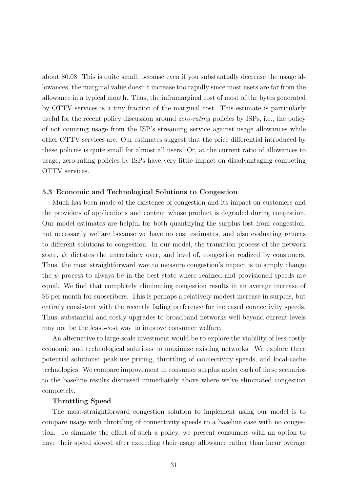about \$0.08. This is quite small, because even if you substantially decrease the usage allowances, the marginal value doesn't increase too rapidly since most users are far from the allowance in a typical month. Thus, the inframarginal cost of most of the bytes generated by OTTV services is a tiny fraction of the marginal cost. This estimate is particularly useful for the recent policy discussion around *zero-rating* policies by ISPs, i.e., the policy of not counting usage from the ISP's streaming service against usage allowances while other OTTV services are. Our estimates suggest that the price differential introduced by these policies is quite small for almost all users. Or, at the current ratio of allowances to usage, zero-rating policies by ISPs have very little impact on disadvantaging competing OTTV services.

#### 5.3 Economic and Technological Solutions to Congestion

Much has been made of the existence of congestion and its impact on customers and the providers of applications and content whose product is degraded during congestion. Our model estimates are helpful for both quantifying the surplus lost from congestion, not necessarily welfare because we have no cost estimates, and also evaluating returns to different solutions to congestion. In our model, the transition process of the network state,  $\psi$ , dictates the uncertainty over, and level of, congestion realized by consumers. Thus, the most straightforward way to measure congestion's impact is to simply change the  $\psi$  process to always be in the best state where realized and provisioned speeds are equal. We find that completely eliminating congestion results in an average increase of \$6 per month for subscribers. This is perhaps a relatively modest increase in surplus, but entirely consistent with the recently fading preference for increased connectivity speeds. Thus, substantial and costly upgrades to broadband networks well beyond current levels may not be the least-cost way to improve consumer welfare.

An alternative to large-scale investment would be to explore the viability of less-costly economic and technological solutions to maximize existing networks. We explore three potential solutions: peak-use pricing, throttling of connectivity speeds, and local-cache technologies. We compare improvement in consumer surplus under each of these scenarios to the baseline results discussed immediately above where we've eliminated congestion completely.

#### Throttling Speed

The most-straightforward congestion solution to implement using our model is to compare usage with throttling of connectivity speeds to a baseline case with no congestion. To simulate the effect of such a policy, we present consumers with an option to have their speed slowed after exceeding their usage allowance rather than incur overage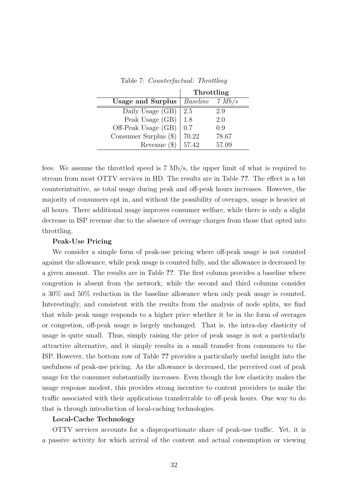|                          | Throttling |               |
|--------------------------|------------|---------------|
| <b>Usage and Surplus</b> | Baseline   | $\gamma$ Mb/s |
| Daily Usage (GB)         | 2.5        | 2.9           |
| Peak Usage (GB)          | 1.8        | 2.0           |
| Off-Peak Usage (GB)      | 0.7        | 0.9           |
| Consumer Surplus $(\$)$  | 70.22      | 78.67         |
| (3)<br>Revenue           | 57.42      | 57.09         |

Table 7: Counterfactual: Throttling

fees. We assume the throttled speed is 7 Mb/s, the upper limit of what is required to stream from most OTTV services in HD. The results are in Table ??. The effect is a bit counterintuitive, as total usage during peak and off-peak hours increases. However, the majority of consumers opt in, and without the possibility of overages, usage is heavier at all hours. There additional usage improves consumer welfare, while there is only a slight decrease in ISP revenue due to the absence of overage charges from those that opted into throttling.

## Peak-Use Pricing

 $\frac{1}{2}$ 

We consider a simple form of peak-use pricing where off-peak usage is not counted against the allowance, while peak usage is counted fully, and the allowance is decreased by a given amount. The results are in Table ??. The first column provides a baseline where congestion is absent from the network, while the second and third columns consider a 30% and 50% reduction in the baseline allowance when only peak usage is counted. Interestingly, and consistent with the results from the analysis of node splits, we find that while peak usage responds to a higher price whether it be in the form of overages or congestion, off-peak usage is largely unchanged. That is, the intra-day elasticity of usage is quite small. Thus, simply raising the price of peak usage is not a particularly attractive alternative, and it simply results in a small transfer from consumers to the ISP. However, the bottom row of Table ?? provides a particularly useful insight into the usefulness of peak-use pricing. As the allowance is decreased, the perceived cost of peak usage for the consumer substantially increases. Even though the low elasticity makes the usage response modest, this provides strong incentive to content providers to make the traffic associated with their applications transferrable to off-peak hours. One way to do that is through introduction of local-caching technologies.

## Local-Cache Technology

OTTV services accounts for a disproportionate share of peak-use traffic. Yet, it is a passive activity for which arrival of the content and actual consumption or viewing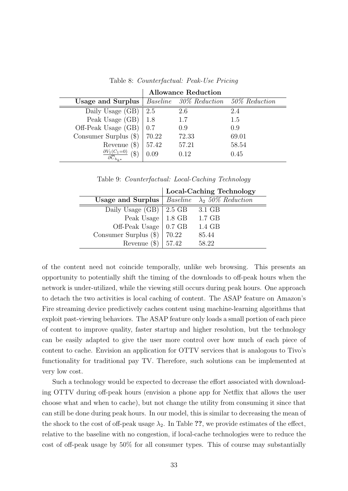|                                                                      | <b>Allowance Reduction</b> |                                      |       |  |  |
|----------------------------------------------------------------------|----------------------------|--------------------------------------|-------|--|--|
| <b>Usage and Surplus</b>                                             |                            | Baseline 30% Reduction 50% Reduction |       |  |  |
| Daily Usage (GB)                                                     | 2.5                        | 2.6                                  | 2.4   |  |  |
| Peak Usage (GB)                                                      | 1.8                        | 1.7                                  | 1.5   |  |  |
| Off-Peak Usage (GB)                                                  | 0.7                        | 0.9                                  | 0.9   |  |  |
| Consumer Surplus $(\$)$                                              | 70.22                      | 72.33                                | 69.01 |  |  |
| Revenue $(\$)$                                                       | 57.42                      | 57.21                                | 58.54 |  |  |
| $\frac{\partial V_1(C_1=0)}{\partial \overline{C}_{h_{k^*}}}$<br>(\$ | 0.09                       | 0.12                                 | 0.45  |  |  |

Table 8: Counterfactual: Peak-Use Pricing

Table 9: Counterfactual: Local-Caching Technology

|                                                               |          | <b>Local-Caching Technology</b> |
|---------------------------------------------------------------|----------|---------------------------------|
| <b>Usage and Surplus</b>   Baseline $\lambda_2$ 50% Reduction |          |                                 |
| Daily Usage $(GB)$                                            | $2.5$ GB | 3.1 GB                          |
| Peak Usage $  1.8$ GB                                         |          | $1.7$ GB                        |
| Off-Peak Usage $\vert$ 0.7 GB                                 |          | 1.4 GB                          |
| Consumer Surplus $(\$)$                                       | 70.22    | 85.44                           |
| Revenue $(\$)$   57.42                                        |          | 58.22                           |

of the content need not coincide temporally, unlike web browsing. This presents an opportunity to potentially shift the timing of the downloads to off-peak hours when the network is under-utilized, while the viewing still occurs during peak hours. One approach to detach the two activities is local caching of content. The ASAP feature on Amazon's Fire streaming device predictively caches content using machine-learning algorithms that exploit past-viewing behaviors. The ASAP feature only loads a small portion of each piece of content to improve quality, faster startup and higher resolution, but the technology can be easily adapted to give the user more control over how much of each piece of content to cache. Envision an application for OTTV services that is analogous to Tivo's functionality for traditional pay TV. Therefore, such solutions can be implemented at very low cost.

Such a technology would be expected to decrease the effort associated with downloading OTTV during off-peak hours (envision a phone app for Netflix that allows the user choose what and when to cache), but not change the utility from consuming it since that can still be done during peak hours. In our model, this is similar to decreasing the mean of the shock to the cost of off-peak usage  $\lambda_2$ . In Table ??, we provide estimates of the effect, relative to the baseline with no congestion, if local-cache technologies were to reduce the cost of off-peak usage by 50% for all consumer types. This of course may substantially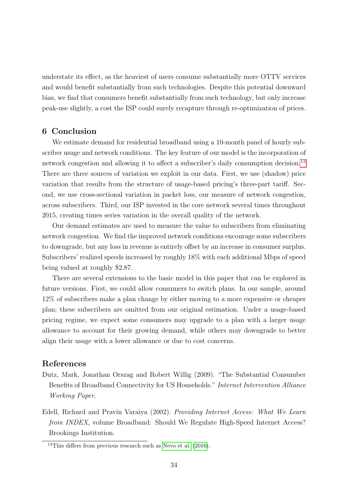understate its effect, as the heaviest of users consume substantially more OTTV services and would benefit substantially from such technologies. Despite this potential downward bias, we find that consumers benefit substantially from such technology, but only increase peak-use slightly, a cost the ISP could surely recapture through re-optimization of prices.

## 6 Conclusion

We estimate demand for residential broadband using a 10-month panel of hourly subscriber usage and network conditions. The key feature of our model is the incorporation of network congestion and allowing it to affect a subscriber's daily consumption decision.<sup>[13](#page-33-2)</sup> There are three sources of variation we exploit in our data. First, we use (shadow) price variation that results from the structure of usage-based pricing's three-part tariff. Second, we use cross-sectional variation in packet loss, our measure of network congestion, across subscribers. Third, our ISP invested in the core network several times throughout 2015, creating times series variation in the overall quality of the network.

Our demand estimates are used to measure the value to subscribers from eliminating network congestion. We find the improved network conditions encourage some subscribers to downgrade, but any loss in revenue is entirely offset by an increase in consumer surplus. Subscribers' realized speeds increased by roughly 18% with each additional Mbps of speed being valued at roughly \$2.87.

There are several extensions to the basic model in this paper that can be explored in future versions. First, we could allow consumers to switch plans. In our sample, around 12% of subscribers make a plan change by either moving to a more expensive or cheaper plan; these subscribers are omitted from our original estimation. Under a usage-based pricing regime, we expect some consumers may upgrade to a plan with a larger usage allowance to account for their growing demand, while others may downgrade to better align their usage with a lower allowance or due to cost concerns.

## References

- <span id="page-33-1"></span>Dutz, Mark, Jonathan Orszag and Robert Willig (2009). "The Substantial Consumber Benefits of Broadband Connectivity for US Households." Internet Intervention Alliance Working Paper.
- <span id="page-33-0"></span>Edell, Richard and Pravin Varaiya (2002). Providing Internet Access: What We Learn from INDEX, volume Broadband: Should We Regulate High-Speed Internet Access? Brookings Institution.

<span id="page-33-2"></span> $13$ This differs from previous research such as [Nevo et al.](#page-34-0) [\(2016\)](#page-34-0).